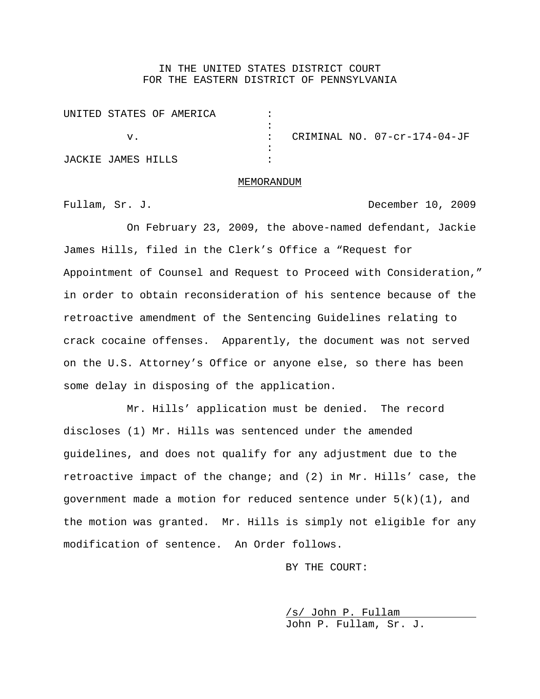## IN THE UNITED STATES DISTRICT COURT FOR THE EASTERN DISTRICT OF PENNSYLVANIA

| UNITED STATES OF AMERICA |  |                              |
|--------------------------|--|------------------------------|
|                          |  |                              |
|                          |  | CRIMINAL NO. 07-cr-174-04-JF |
|                          |  |                              |
| JACKIE JAMES HILLS       |  |                              |

## MEMORANDUM

Fullam, Sr. J. **December 10, 2009** 

On February 23, 2009, the above-named defendant, Jackie James Hills, filed in the Clerk's Office a "Request for Appointment of Counsel and Request to Proceed with Consideration," in order to obtain reconsideration of his sentence because of the retroactive amendment of the Sentencing Guidelines relating to crack cocaine offenses. Apparently, the document was not served on the U.S. Attorney's Office or anyone else, so there has been some delay in disposing of the application.

Mr. Hills' application must be denied. The record discloses (1) Mr. Hills was sentenced under the amended guidelines, and does not qualify for any adjustment due to the retroactive impact of the change; and (2) in Mr. Hills' case, the government made a motion for reduced sentence under  $5(k)(1)$ , and the motion was granted. Mr. Hills is simply not eligible for any modification of sentence. An Order follows.

BY THE COURT:

/s/ John P. Fullam John P. Fullam, Sr. J.